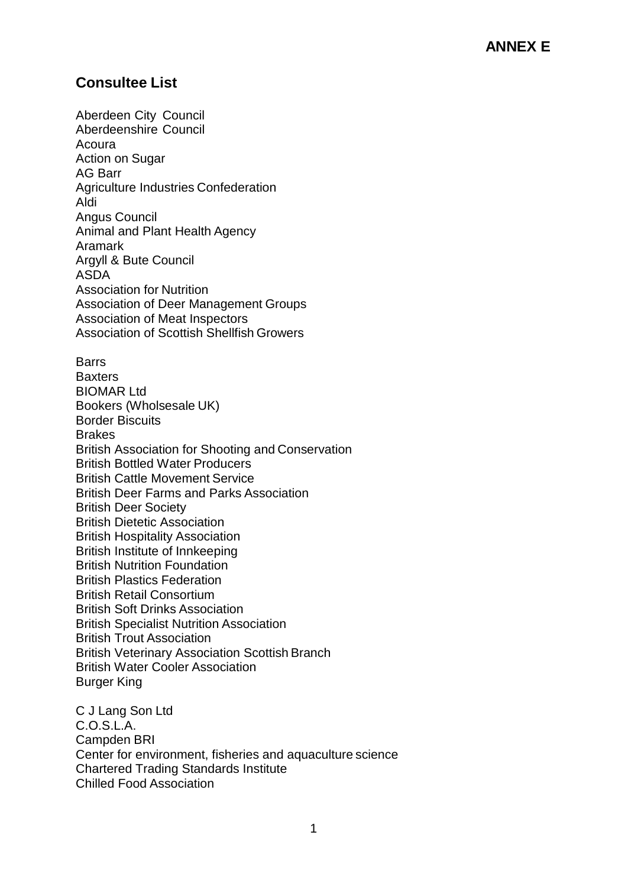# **Consultee List**

Aberdeen City Council Aberdeenshire Council Acoura **Action on Sugar** AG Barr Agriculture Industries Confederation Aldi Angus Council Animal and Plant Health Agency Aramark Argyll & Bute Council ASDA Association for Nutrition Association of Deer Management Groups Association of Meat Inspectors Association of Scottish Shellfish Growers **Barrs Baxters** BIOMAR Ltd Bookers (Wholsesale UK) Border Biscuits **Brakes** British Association for Shooting and Conservation British Bottled Water Producers British Cattle Movement Service British Deer Farms and Parks Association British Deer Society British Dietetic Association British Hospitality Association British Institute of Innkeeping British Nutrition Foundation British Plastics Federation British Retail Consortium British Soft Drinks Association British Specialist Nutrition Association British Trout Association British Veterinary Association Scottish Branch British Water Cooler Association Burger King C J Lang Son Ltd

C.O.S.L.A. Campden BRI Center for environment, fisheries and aquaculture science Chartered Trading Standards Institute Chilled Food Association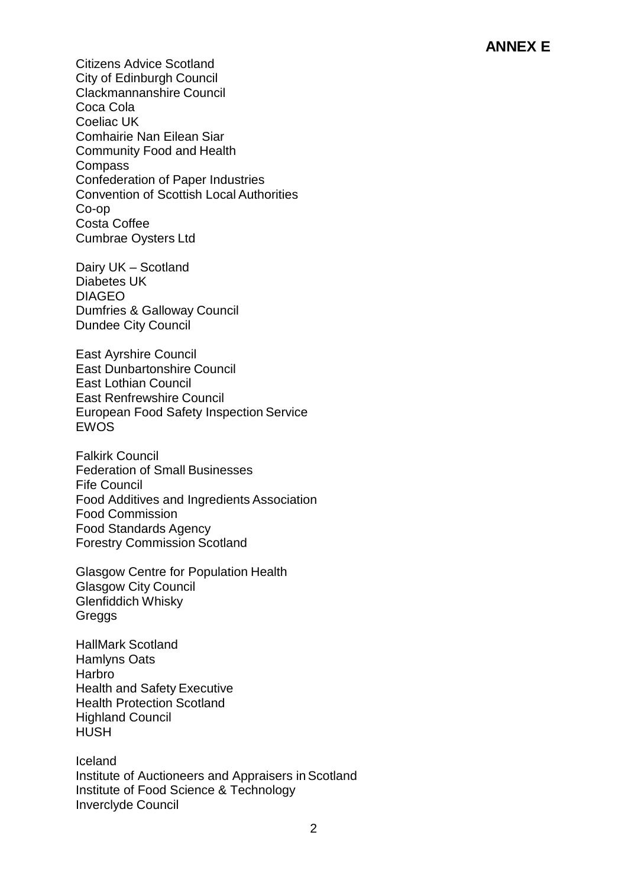Citizens Advice Scotland City of Edinburgh Council Clackmannanshire Council Coca Cola Coeliac UK Comhairie Nan Eilean Siar Community Food and Health Compass Confederation of Paper Industries Convention of Scottish Local Authorities Co-op Costa Coffee Cumbrae Oysters Ltd

Dairy UK – Scotland Diabetes UK DIAGEO Dumfries & Galloway Council Dundee City Council

East Ayrshire Council East Dunbartonshire Council East Lothian Council East Renfrewshire Council European Food Safety Inspection Service EWOS

Falkirk Council Federation of Small Businesses Fife Council Food Additives and Ingredients Association Food Commission Food Standards Agency Forestry Commission Scotland

Glasgow Centre for Population Health Glasgow City Council Glenfiddich Whisky **Greggs** 

HallMark Scotland Hamlyns Oats Harbro Health and Safety Executive Health Protection Scotland Highland Council **HUSH** 

Iceland Institute of Auctioneers and Appraisers in Scotland Institute of Food Science & Technology Inverclyde Council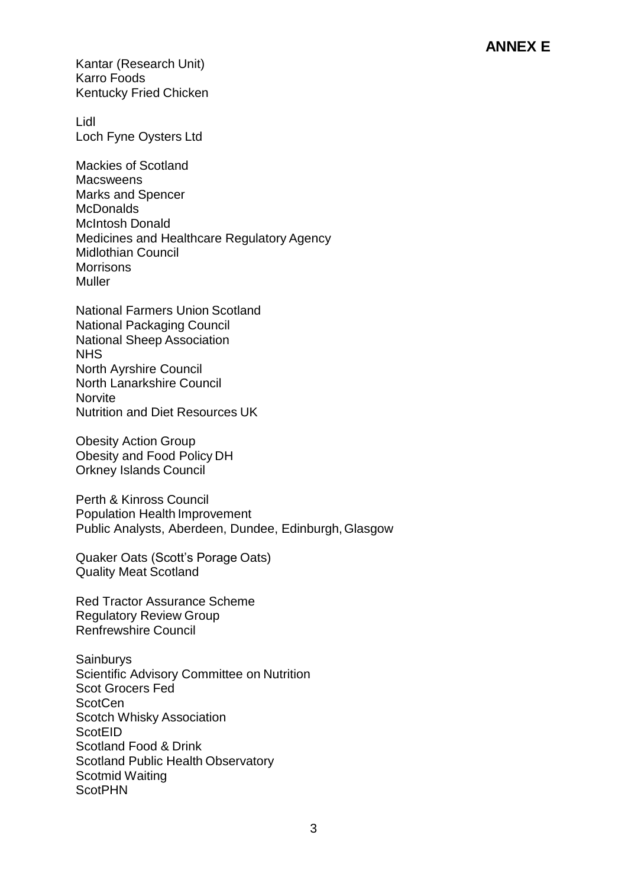Kantar (Research Unit) Karro Foods Kentucky Fried Chicken

Lidl Loch Fyne Oysters Ltd

Mackies of Scotland **Macsweens** Marks and Spencer **McDonalds** McIntosh Donald Medicines and Healthcare Regulatory Agency Midlothian Council **Morrisons** Muller

National Farmers Union Scotland National Packaging Council National Sheep Association NHS North Ayrshire Council North Lanarkshire Council **Norvite** Nutrition and Diet Resources UK

Obesity Action Group Obesity and Food Policy DH Orkney Islands Council

Perth & Kinross Council Population Health Improvement Public Analysts, Aberdeen, Dundee, Edinburgh,Glasgow

Quaker Oats (Scott's Porage Oats) Quality Meat Scotland

Red Tractor Assurance Scheme Regulatory Review Group Renfrewshire Council

**Sainburys** Scientific Advisory Committee on Nutrition Scot Grocers Fed **ScotCen** Scotch Whisky Association **ScotEID** Scotland Food & Drink Scotland Public Health Observatory Scotmid Waiting **ScotPHN**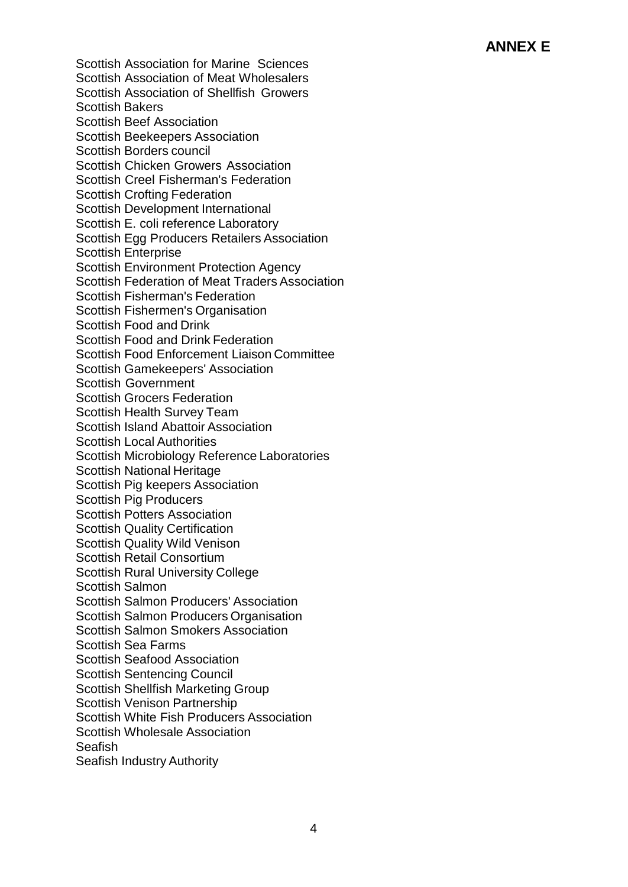Scottish Association for Marine Sciences Scottish Association of Meat Wholesalers Scottish Association of Shellfish Growers Scottish Bakers Scottish Beef Association Scottish Beekeepers Association Scottish Borders council Scottish Chicken Growers Association Scottish Creel Fisherman's Federation Scottish Crofting Federation Scottish Development International Scottish E. coli reference Laboratory Scottish Egg Producers Retailers Association Scottish Enterprise Scottish Environment Protection Agency Scottish Federation of Meat Traders Association Scottish Fisherman's Federation Scottish Fishermen's Organisation Scottish Food and Drink Scottish Food and Drink Federation Scottish Food Enforcement Liaison Committee Scottish Gamekeepers' Association Scottish Government Scottish Grocers Federation Scottish Health Survey Team Scottish Island Abattoir Association Scottish Local Authorities Scottish Microbiology Reference Laboratories Scottish National Heritage Scottish Pig keepers Association Scottish Pig Producers Scottish Potters Association Scottish Quality Certification Scottish Quality Wild Venison Scottish Retail Consortium Scottish Rural University College Scottish Salmon Scottish Salmon Producers' Association Scottish Salmon Producers Organisation Scottish Salmon Smokers Association Scottish Sea Farms Scottish Seafood Association Scottish Sentencing Council Scottish Shellfish Marketing Group Scottish Venison Partnership Scottish White Fish Producers Association Scottish Wholesale Association Seafish Seafish Industry Authority